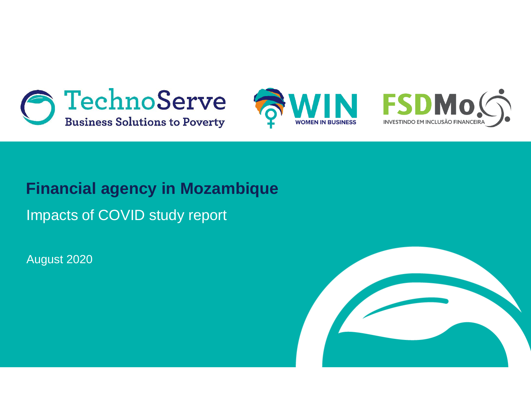





## **Financial agency in Mozambique**

Impacts of COVID study report

August 2020

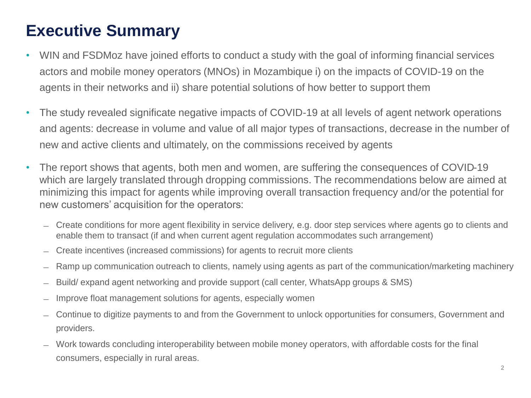## **Executive Summary**

- WIN and FSDMoz have joined efforts to conduct a study with the goal of informing financial services actors and mobile money operators (MNOs) in Mozambique i) on the impacts of COVID-19 on the agents in their networks and ii) share potential solutions of how better to support them
- The study revealed significate negative impacts of COVID-19 at all levels of agent network operations and agents: decrease in volume and value of all major types of transactions, decrease in the number of new and active clients and ultimately, on the commissions received by agents
- The report shows that agents, both men and women, are suffering the consequences of COVID-19 which are largely translated through dropping commissions. The recommendations below are aimed at minimizing this impact for agents while improving overall transaction frequency and/or the potential for new customers' acquisition for the operators:
	- ̶ Create conditions for more agent flexibility in service delivery, e.g. door step services where agents go to clients and enable them to transact (if and when current agent regulation accommodates such arrangement)
	- ̶ Create incentives (increased commissions) for agents to recruit more clients
	- Ramp up communication outreach to clients, namely using agents as part of the communication/marketing machinery
	- ̶ Build/ expand agent networking and provide support (call center, WhatsApp groups & SMS)
	- ̶ Improve float management solutions for agents, especially women
	- ̶ Continue to digitize payments to and from the Government to unlock opportunities for consumers, Government and providers.
	- ̶ Work towards concluding interoperability between mobile money operators, with affordable costs for the final consumers, especially in rural areas.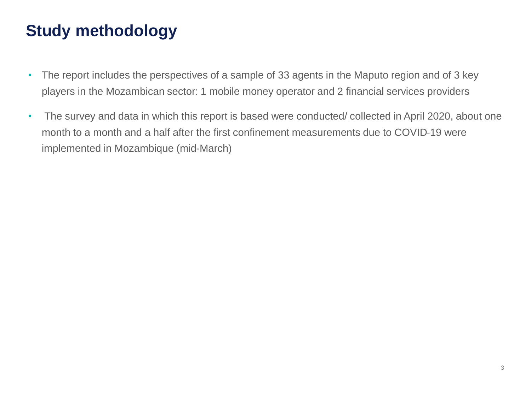## **Study methodology**

- The report includes the perspectives of a sample of 33 agents in the Maputo region and of 3 key players in the Mozambican sector: 1 mobile money operator and 2 financial services providers
- The survey and data in which this report is based were conducted/ collected in April 2020, about one month to a month and a half after the first confinement measurements due to COVID-19 were implemented in Mozambique (mid-March)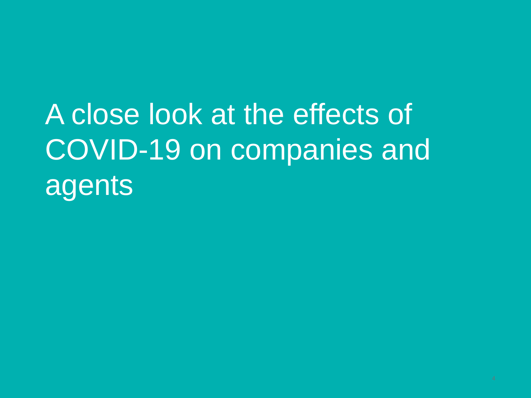# A close look at the effects of COVID-19 on companies and agents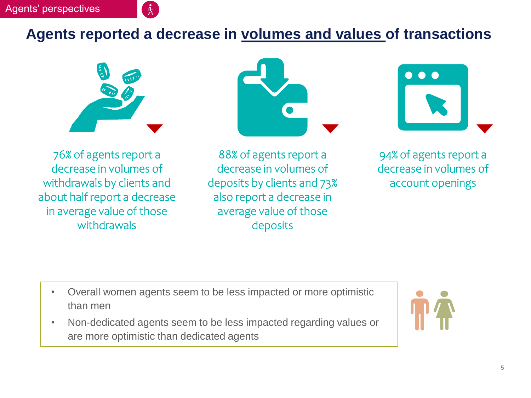#### **Agents reported a decrease in volumes and values of transactions**







76% of agents report a decrease in volumes of withdrawals by clients and about half report a decrease in average value of those withdrawals

88% of agents report a decrease in volumes of deposits by clients and 73% also report a decrease in average value of those deposits

94% of agents report a decrease in volumes of account openings

- Overall women agents seem to be less impacted or more optimistic than men
- Non-dedicated agents seem to be less impacted regarding values or are more optimistic than dedicated agents

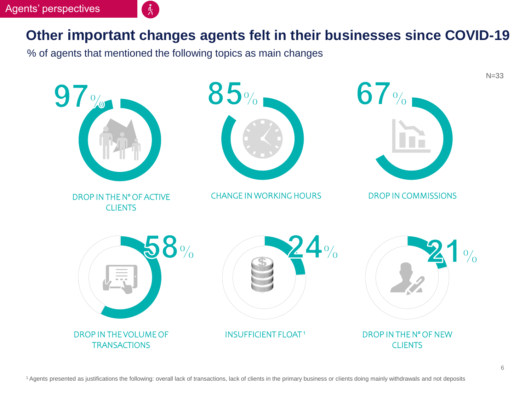#### **Other important changes agents felt in their businesses since COVID-19**

% of agents that mentioned the following topics as main changes

្ត្រី $\mathbf{r}$ 

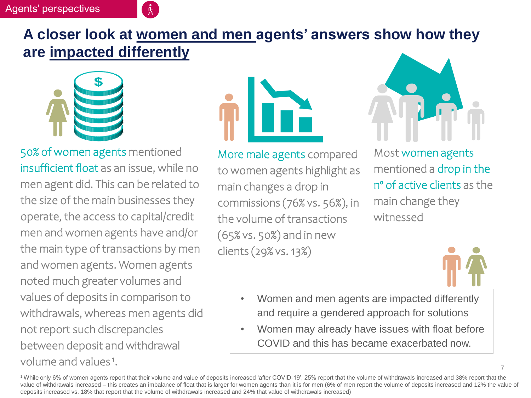#### Agents' perspectives



#### **A closer look at women and men agents' answers show how they are impacted differently**



50% of women agents mentioned insufficient float as an issue, while no men agent did. This can be related to the size of the main businesses they operate, the access to capital/credit men and women agents have and/or the main type of transactions by men and women agents. Women agents noted much greater volumes and values of deposits in comparison to withdrawals, whereas men agents did not report such discrepancies between deposit and withdrawal volume and values<sup>1</sup>.



More male agents compared to women agents highlight as main changes a drop in commissions (76% vs. 56%), in the volume of transactions (65% vs. 50%) and in new clients (29% vs. 13%)



Most women agents mentioned a drop in the nº of active clients as the main change they witnessed



- Women and men agents are impacted differently and require a gendered approach for solutions
- Women may already have issues with float before COVID and this has became exacerbated now.

<sup>1</sup>While only 6% of women agents report that their volume and value of deposits increased 'after COVID-19', 25% report that the volume of withdrawals increased and 38% report that the value of withdrawals increased – this creates an imbalance of float that is larger for women agents than it is for men (6% of men report the volume of deposits increased and 12% the value of deposits increased vs. 18% that report that the volume of withdrawals increased and 24% that value of withdrawals increased)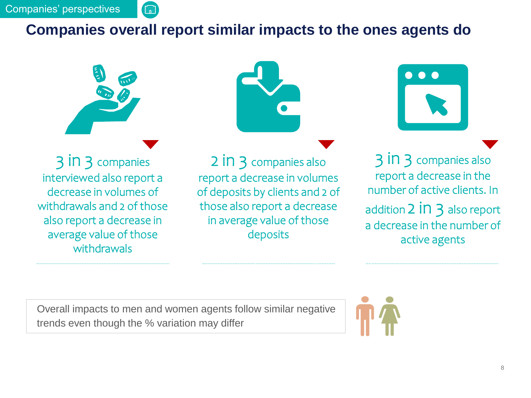#### **Companies overall report similar impacts to the ones agents do**



【騙】

3 in 3 companies interviewed also report a decrease in volumes of withdrawals and 2 of those also report a decrease in average value of those withdrawals





2 in 3 companies also report a decrease in volumes of deposits by clients and 2 of those also report a decrease in average value of those deposits

3 in 3 companies also report a decrease in the number of active clients. In addition  $2$  in  $3$  also report a decrease in the number of active agents

Overall impacts to men and women agents follow similar negative trends even though the % variation may differ

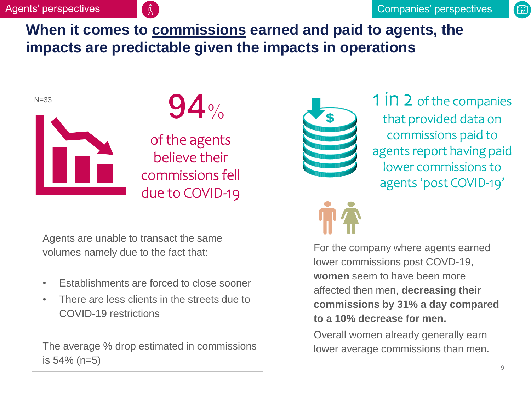酾

#### **When it comes to commissions earned and paid to agents, the impacts are predictable given the impacts in operations**



of the agents believe their commissions fell due to COVID-19

Agents are unable to transact the same volumes namely due to the fact that:

- Establishments are forced to close sooner
- There are less clients in the streets due to COVID-19 restrictions

The average % drop estimated in commissions is 54% (n=5)



 $\bigcup_{N=33}^{N=33}$  1 in 2 of the companies that provided data on commissions paid to agents report having paid lower commissions to agents 'post COVID-19'

> For the company where agents earned lower commissions post COVD-19, **women** seem to have been more affected then men, **decreasing their commissions by 31% a day compared to a 10% decrease for men.**

Overall women already generally earn lower average commissions than men.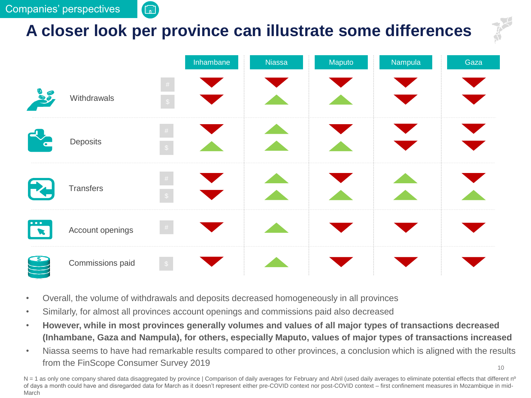酾

## **A closer look per province can illustrate some differences**

|                                       |                  | Inhambane                            | <b>Niassa</b> | Maputo | Nampula | Gaza |
|---------------------------------------|------------------|--------------------------------------|---------------|--------|---------|------|
| 37                                    | Withdrawals      | $\#$<br>$\mathcal{S}$                |               |        |         |      |
|                                       | Deposits         | $\#$<br>$\langle \mathbb{S} \rangle$ |               |        |         |      |
| <b>THE</b>                            | Transfers        | $\#$<br>$\sqrt{S}$                   |               |        |         |      |
| $\bullet\bullet\bullet$<br>$\sqrt{2}$ | Account openings | $\#$                                 |               |        |         |      |
| $\overline{\mathcal{S}}$              | Commissions paid | $\frac{1}{2}$                        |               |        |         |      |

- Overall, the volume of withdrawals and deposits decreased homogeneously in all provinces
- Similarly, for almost all provinces account openings and commissions paid also decreased
- **However, while in most provinces generally volumes and values of all major types of transactions decreased (Inhambane, Gaza and Nampula), for others, especially Maputo, values of major types of transactions increased**
- Niassa seems to have had remarkable results compared to other provinces, a conclusion which is aligned with the results from the FinScope Consumer Survey 2019

 $N = 1$  as only one company shared data disaggregated by province | Comparison of daily averages for February and Abril (used daily averages to eliminate potential effects that different n<sup>o</sup> of days a month could have and disregarded data for March as it doesn't represent either pre-COVID context nor post-COVID context – first confinement measures in Mozambique in mid-March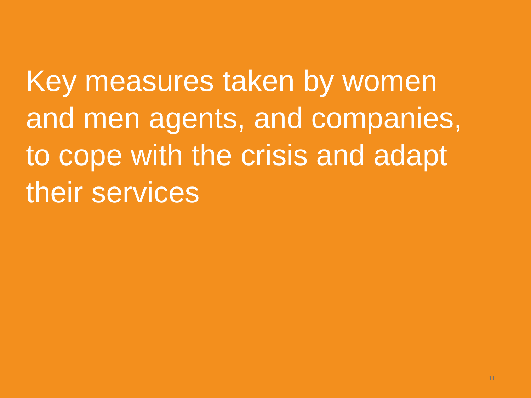Key measures taken by women and men agents, and companies, to cope with the crisis and adapt their services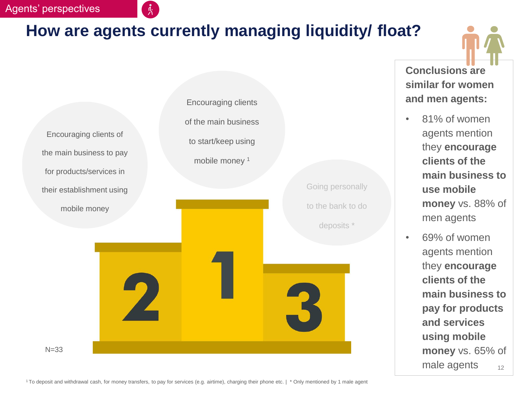#### Agents' perspectives

## **How are agents currently managing liquidity/ float?**

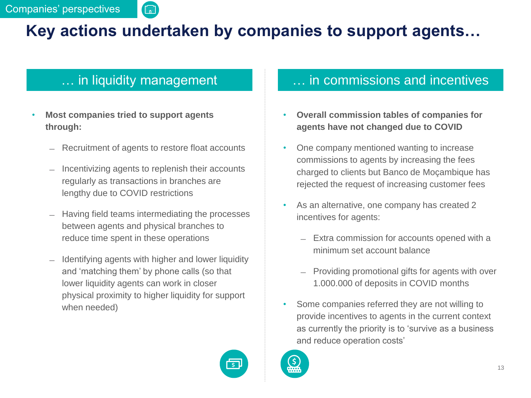## **Key actions undertaken by companies to support agents…**

酾

- **Most companies tried to support agents through:**
	- Recruitment of agents to restore float accounts
	- ̶ Incentivizing agents to replenish their accounts regularly as transactions in branches are lengthy due to COVID restrictions
	- ̶ Having field teams intermediating the processes between agents and physical branches to reduce time spent in these operations
	- ̶ Identifying agents with higher and lower liquidity and 'matching them' by phone calls (so that lower liquidity agents can work in closer physical proximity to higher liquidity for support when needed)

#### in liquidity management **EXACTE 2018** M. in commissions and incentives

- **Overall commission tables of companies for agents have not changed due to COVID**
- One company mentioned wanting to increase commissions to agents by increasing the fees charged to clients but Banco de Moçambique has rejected the request of increasing customer fees
- As an alternative, one company has created 2 incentives for agents:
	- ̶ Extra commission for accounts opened with a minimum set account balance
	- ̶ Providing promotional gifts for agents with over 1.000.000 of deposits in COVID months
- Some companies referred they are not willing to provide incentives to agents in the current context as currently the priority is to 'survive as a business and reduce operation costs'



 $\mathsf{S}$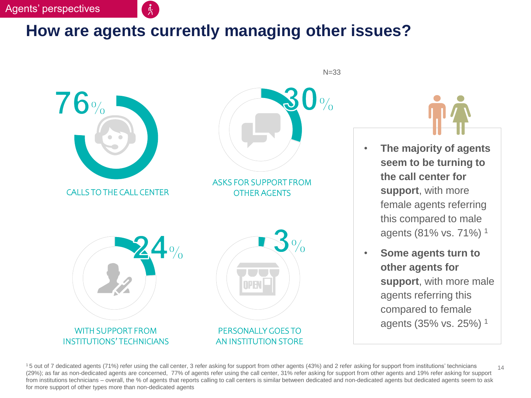#### **How are agents currently managing other issues?**



 $N=33$ 



- **The majority of agents seem to be turning to the call center for support**, with more female agents referring this compared to male agents (81% vs. 71%) <sup>1</sup>
- **Some agents turn to other agents for support**, with more male agents referring this compared to female agents (35% vs. 25%) <sup>1</sup>

14 <sup>1</sup>5 out of 7 dedicated agents (71%) refer using the call center, 3 refer asking for support from other agents (43%) and 2 refer asking for support from institutions' technicians (29%); as far as non-dedicated agents are concerned, 77% of agents refer using the call center, 31% refer asking for support from other agents and 19% refer asking for support from institutions technicians – overall, the % of agents that reports calling to call centers is similar between dedicated and non-dedicated agents but dedicated agents seem to ask for more support of other types more than non-dedicated agents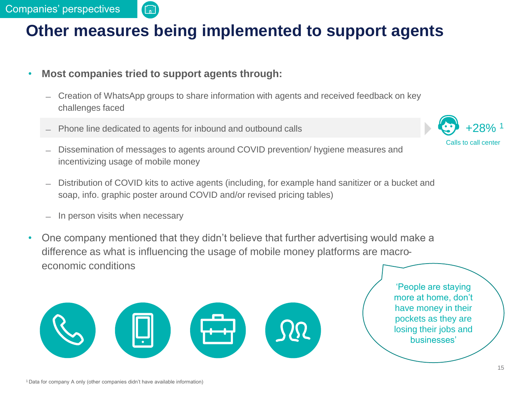#### **Other measures being implemented to support agents**

- **Most companies tried to support agents through:**
	- ̶ Creation of WhatsApp groups to share information with agents and received feedback on key challenges faced
	- ̶ Phone line dedicated to agents for inbound and outbound calls
	- ̶ Dissemination of messages to agents around COVID prevention/ hygiene measures and incentivizing usage of mobile money
	- ̶ Distribution of COVID kits to active agents (including, for example hand sanitizer or a bucket and soap, info. graphic poster around COVID and/or revised pricing tables)
	- In person visits when necessary
- One company mentioned that they didn't believe that further advertising would make a difference as what is influencing the usage of mobile money platforms are macroeconomic conditions



'People are staying more at home, don't have money in their pockets as they are losing their jobs and businesses'

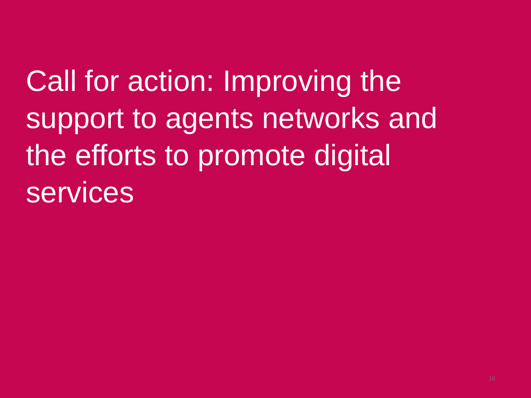Call for action: Improving the support to agents networks and the efforts to promote digital services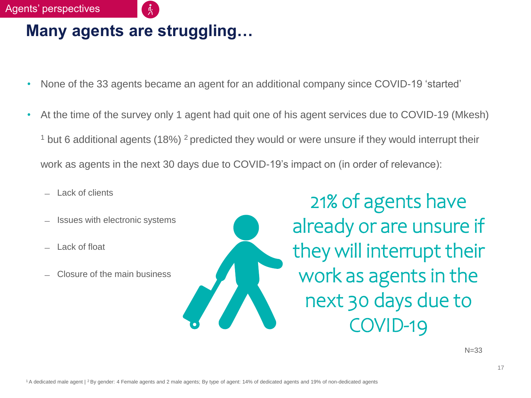#### Agents' perspectives

#### **Many agents are struggling…**

- None of the 33 agents became an agent for an additional company since COVID-19 'started'
- At the time of the survey only 1 agent had quit one of his agent services due to COVID-19 (Mkesh)  $1$  but 6 additional agents (18%)  $2$  predicted they would or were unsure if they would interrupt their work as agents in the next 30 days due to COVID-19's impact on (in order of relevance):
	- **Lack of clients**
	- ̶ Issues with electronic systems
	- ̶ Lack of float
	- ̶ Closure of the main business

21% of agents have already or are unsure if they will interrupt their work as agents in the next 30 days due to COVID-19

 $N = 33$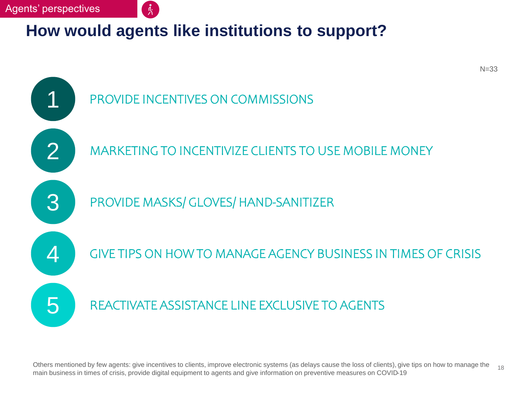## **How would agents like institutions to support?**



18 Others mentioned by few agents: give incentives to clients, improve electronic systems (as delays cause the loss of clients), give tips on how to manage the main business in times of crisis, provide digital equipment to agents and give information on preventive measures on COVID-19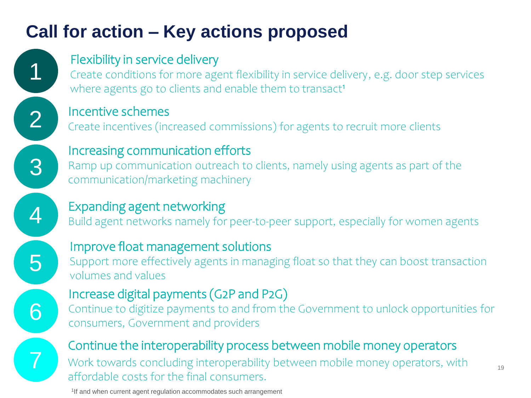# **Call for action – Key actions proposed**

1 2

3

4

#### Flexibility in service delivery

Create conditions for more agent flexibility in service delivery, e.g. door step services where agents go to clients and enable them to transact<sup>1</sup>

Incentive schemes

Create incentives (increased commissions) for agents to recruit more clients

Increasing communication efforts

Ramp up communication outreach to clients, namely using agents as part of the communication/marketing machinery

## Expanding agent networking

Build agent networks namely for peer-to-peer support, especially for women agents



6

7

## Improve float management solutions

Support more effectively agents in managing float so that they can boost transaction volumes and values

## Increase digital payments (G2P and P2G)

Continue to digitize payments to and from the Government to unlock opportunities for consumers, Government and providers

### Continue the interoperability process between mobile money operators

Work towards concluding interoperability between mobile money operators, with affordable costs for the final consumers.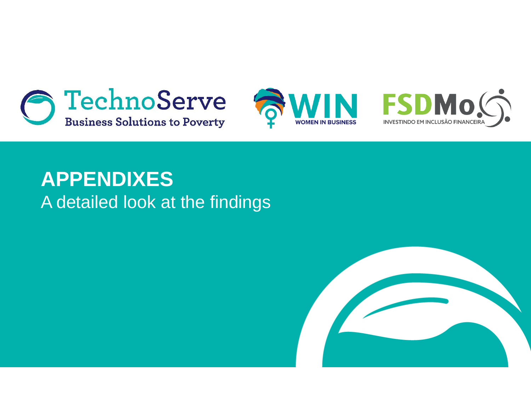





# **APPENDIXES** A detailed look at the findings

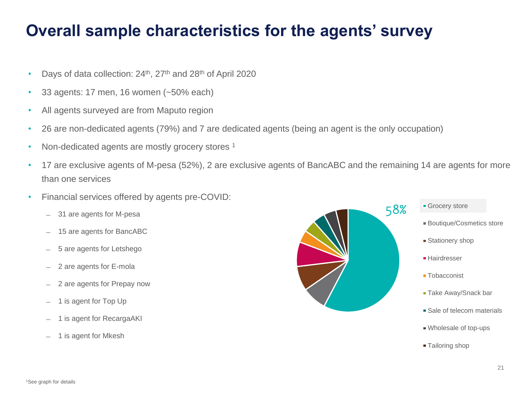## **Overall sample characteristics for the agents' survey**

- Days of data collection: 24<sup>th</sup>, 27<sup>th</sup> and 28<sup>th</sup> of April 2020
- 33 agents: 17 men, 16 women (~50% each)
- All agents surveyed are from Maputo region
- 26 are non-dedicated agents (79%) and 7 are dedicated agents (being an agent is the only occupation)
- Non-dedicated agents are mostly grocery stores<sup>1</sup>
- 17 are exclusive agents of M-pesa (52%), 2 are exclusive agents of BancABC and the remaining 14 are agents for more than one services
- Financial services offered by agents pre-COVID:
	- ̶ 31 are agents for M-pesa
	- ̶ 15 are agents for BancABC
	- ̶ 5 are agents for Letshego
	- ̶ 2 are agents for E-mola
	- ̶ 2 are agents for Prepay now
	- 1 is agent for Top Up
	- 1 is agent for RecargaAKI
	- ̶ 1 is agent for Mkesh



**Tailoring shop**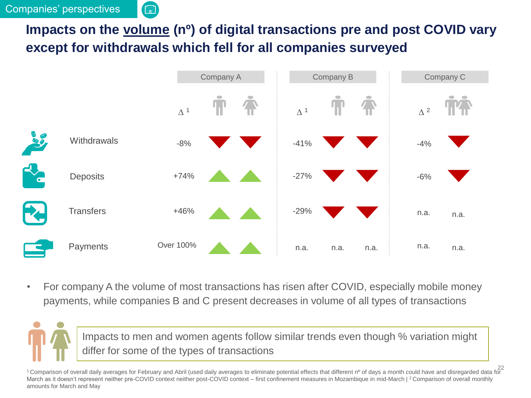

#### **Impacts on the volume (nº) of digital transactions pre and post COVID vary except for withdrawals which fell for all companies surveyed**



• For company A the volume of most transactions has risen after COVID, especially mobile money payments, while companies B and C present decreases in volume of all types of transactions

Impacts to men and women agents follow similar trends even though % variation might differ for some of the types of transactions

22<br>Comparison of overall daily averages for February and Abril (used daily averages to eliminate potential effects that different nº of days a month could have and disregarded data for March as it doesn't represent neither pre-COVID context neither post-COVID context – first confinement measures in Mozambique in mid-March | <sup>2</sup> Comparison of overall monthly amounts for March and May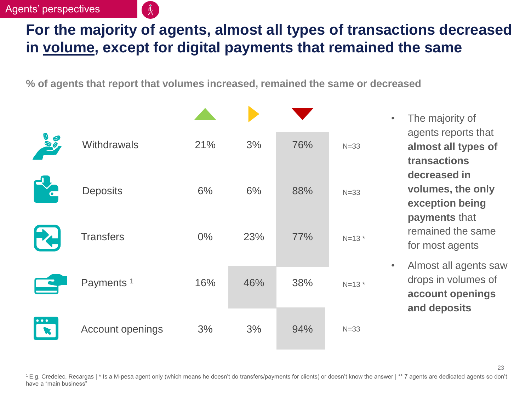#### Agents' perspectives

## **For the majority of agents, almost all types of transactions decreased in volume, except for digital payments that remained the same**

**% of agents that report that volumes increased, remained the same or decreased**

| 30                            | Withdrawals           | 21%   | 3%  | 76% | $N = 33$ |
|-------------------------------|-----------------------|-------|-----|-----|----------|
| C                             | <b>Deposits</b>       | 6%    | 6%  | 88% | $N = 33$ |
| FU                            | <b>Transfers</b>      | $0\%$ | 23% | 77% | $N=13$ * |
|                               | Payments <sup>1</sup> | 16%   | 46% | 38% | $N=13$ * |
| $\bullet$ $\bullet$ $\bullet$ | Account openings      | 3%    | 3%  | 94% | $N=33$   |

- The majority of agents reports that **almost all types of transactions decreased in volumes, the only exception being payments** that remained the same for most agents
- Almost all agents saw drops in volumes of **account openings and deposits**

<sup>1</sup>E.g. Credelec, Recargas | \* Is a M-pesa agent only (which means he doesn't do transfers/payments for clients) or doesn't know the answer | \*\* 7 agents are dedicated agents so don't have a "main business"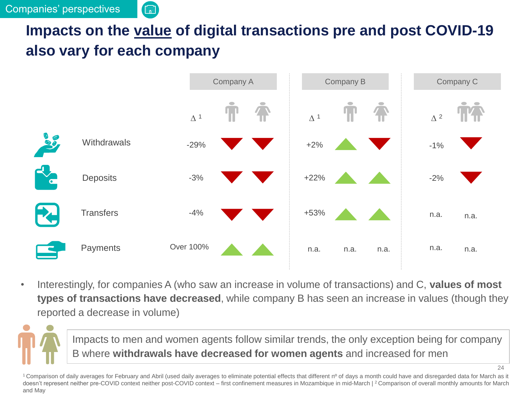

## **Impacts on the value of digital transactions pre and post COVID-19 also vary for each company**



• Interestingly, for companies A (who saw an increase in volume of transactions) and C, **values of most types of transactions have decreased**, while company B has seen an increase in values (though they reported a decrease in volume)

Impacts to men and women agents follow similar trends, the only exception being for company B where **withdrawals have decreased for women agents** and increased for men

<sup>1</sup> Comparison of daily averages for February and Abril (used daily averages to eliminate potential effects that different nº of days a month could have and disregarded data for March as it doesn't represent neither pre-COVID context neither post-COVID context – first confinement measures in Mozambique in mid-March | <sup>2</sup> Comparison of overall monthly amounts for March and May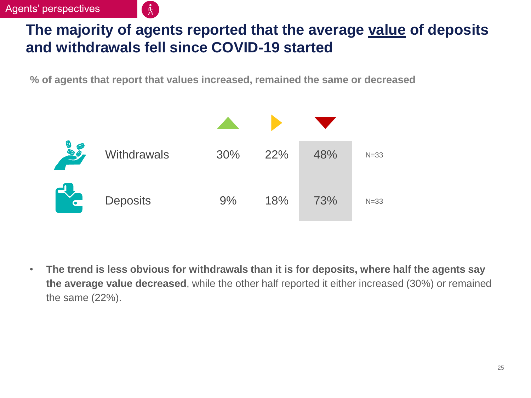## **The majority of agents reported that the average value of deposits and withdrawals fell since COVID-19 started**

**% of agents that report that values increased, remained the same or decreased**

| 10                      | <b>Withdrawals</b> | 30% | 22% | 48% | $N=33$   |
|-------------------------|--------------------|-----|-----|-----|----------|
| $\overline{\mathbf{C}}$ | <b>Deposits</b>    | 9%  | 18% | 73% | $N = 33$ |

• **The trend is less obvious for withdrawals than it is for deposits, where half the agents say the average value decreased**, while the other half reported it either increased (30%) or remained the same (22%).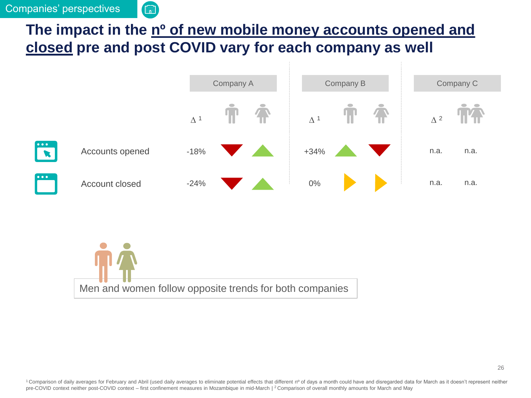

### The impact in the n<sup>o</sup> of new mobile money accounts opened and **closed pre and post COVID vary for each company as well**





<sup>1</sup> Comparison of daily averages for February and Abril (used daily averages to eliminate potential effects that different nº of days a month could have and disregarded data for March as it doesn't represent neither pre-COVID context neither post-COVID context – first confinement measures in Mozambique in mid-March | <sup>2</sup> Comparison of overall monthly amounts for March and May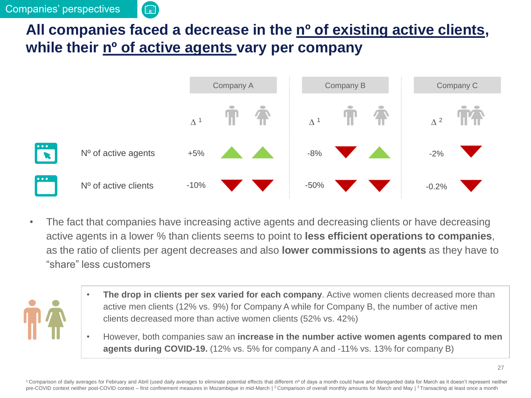

## **All companies faced a decrease in the nº of existing active clients, while their nº of active agents vary per company**



• The fact that companies have increasing active agents and decreasing clients or have decreasing active agents in a lower % than clients seems to point to **less efficient operations to companies**, as the ratio of clients per agent decreases and also **lower commissions to agents** as they have to "share" less customers



- **The drop in clients per sex varied for each company**. Active women clients decreased more than active men clients (12% vs. 9%) for Company A while for Company B, the number of active men clients decreased more than active women clients (52% vs. 42%)
- However, both companies saw an **increase in the number active women agents compared to men agents during COVID-19.** (12% vs. 5% for company A and -11% vs. 13% for company B)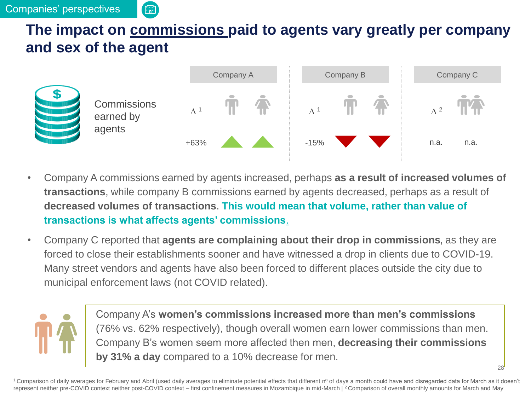

## **The impact on commissions paid to agents vary greatly per company and sex of the agent**



- Company A commissions earned by agents increased, perhaps **as a result of increased volumes of transactions**, while company B commissions earned by agents decreased, perhaps as a result of **decreased volumes of transactions**. **This would mean that volume, rather than value of transactions is what affects agents' commissions**.
- Company C reported that **agents are complaining about their drop in commissions**, as they are forced to close their establishments sooner and have witnessed a drop in clients due to COVID-19. Many street vendors and agents have also been forced to different places outside the city due to municipal enforcement laws (not COVID related).

Company A's **women's commissions increased more than men's commissions**  (76% vs. 62% respectively), though overall women earn lower commissions than men. Company B's women seem more affected then men, **decreasing their commissions by 31% a day** compared to a 10% decrease for men.

28

<sup>1</sup> Comparison of daily averages for February and Abril (used daily averages to eliminate potential effects that different n<sup>o</sup> of days a month could have and disregarded data for March as it doesn't represent neither pre-COVID context neither post-COVID context – first confinement measures in Mozambique in mid-March | <sup>2</sup> Comparison of overall monthly amounts for March and May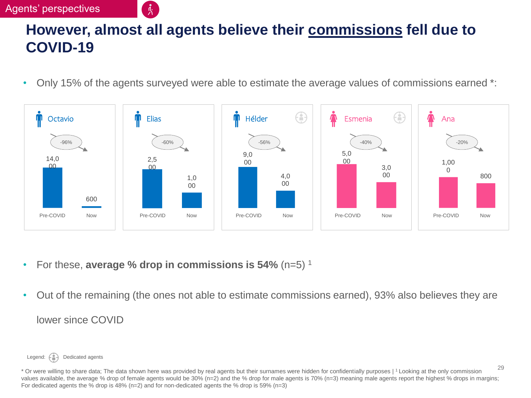#### Agents' perspectives

## **However, almost all agents believe their commissions fell due to COVID-19**

• Only 15% of the agents surveyed were able to estimate the average values of commissions earned \*:



- For these, **average % drop in commissions is 54%** (n=5) <sup>1</sup>
- Out of the remaining (the ones not able to estimate commissions earned), 93% also believes they are lower since COVID

Legend:  $\begin{pmatrix} 0 \\ 1 \end{pmatrix}$  Dedicated agents

<sup>\*</sup> Or were willing to share data; The data shown here was provided by real agents but their surnames were hidden for confidentially purposes | <sup>1</sup>Looking at the only commission values available, the average % drop of female agents would be 30% (n=2) and the % drop for male agents is 70% (n=3) meaning male agents report the highest % drops in margins; For dedicated agents the % drop is 48% (n=2) and for non-dedicated agents the % drop is 59% (n=3)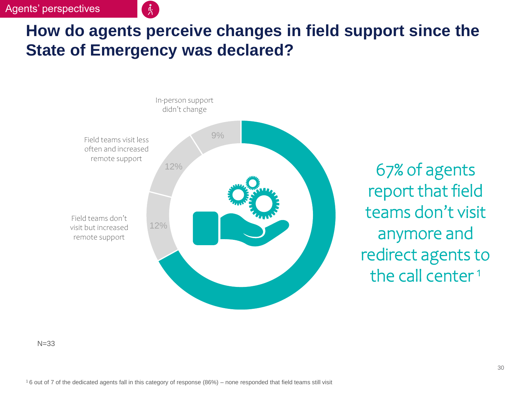#### Agents' perspectives

## **How do agents perceive changes in field support since the State of Emergency was declared?**



67% of agents report that field teams don't visit anymore and redirect agents to the call center<sup>1</sup>

 $N = 33$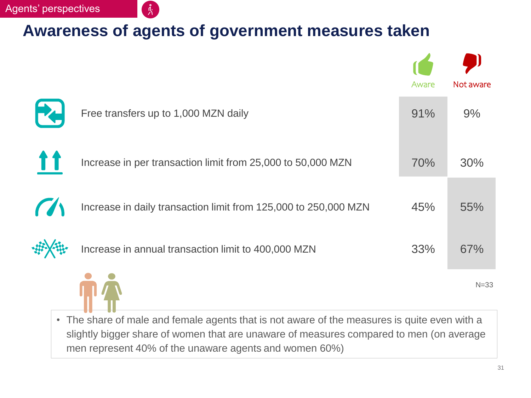#### **Awareness of agents of government measures taken**

|                                                                 | Aware | Not aware |
|-----------------------------------------------------------------|-------|-----------|
| Free transfers up to 1,000 MZN daily                            | 91%   | 9%        |
| Increase in per transaction limit from 25,000 to 50,000 MZN     | 70%   | 30%       |
| Increase in daily transaction limit from 125,000 to 250,000 MZN | 45%   | 55%       |
| Increase in annual transaction limit to 400,000 MZN             | 33%   | 67%       |
|                                                                 |       | $N = 33$  |

• The share of male and female agents that is not aware of the measures is quite even with a slightly bigger share of women that are unaware of measures compared to men (on average men represent 40% of the unaware agents and women 60%)